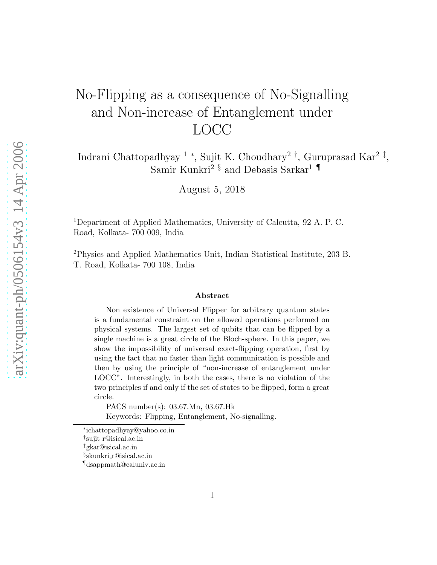## No-Flipping as a consequence of No-Signalling and Non-increase of Entanglement under LOCC

Indrani Chattopadhyay <sup>1</sup> <sup>∗</sup> , Sujit K. Choudhary<sup>2</sup> † , Guruprasad Kar<sup>2</sup> ‡ , Samir Kunkri $^{2-\S}$  and Debasis Sarkar<sup>1</sup>  $\P$ 

August 5, 2018

<sup>1</sup>Department of Applied Mathematics, University of Calcutta, 92 A. P. C. Road, Kolkata- 700 009, India

<sup>2</sup>Physics and Applied Mathematics Unit, Indian Statistical Institute, 203 B. T. Road, Kolkata- 700 108, India

## Abstract

Non existence of Universal Flipper for arbitrary quantum states is a fundamental constraint on the allowed operations performed on physical systems. The largest set of qubits that can be flipped by a single machine is a great circle of the Bloch-sphere. In this paper, we show the impossibility of universal exact-flipping operation, first by using the fact that no faster than light communication is possible and then by using the principle of "non-increase of entanglement under LOCC". Interestingly, in both the cases, there is no violation of the two principles if and only if the set of states to be flipped, form a great circle.

PACS number(s): 03.67.Mn, 03.67.Hk Keywords: Flipping, Entanglement, No-signalling.

<sup>∗</sup> ichattopadhyay@yahoo.co.in

<sup>†</sup> sujit r@isical.ac.in

<sup>‡</sup>gkar@isical.ac.in

<sup>§</sup> skunkri r@isical.ac.in

<sup>¶</sup>dsappmath@caluniv.ac.in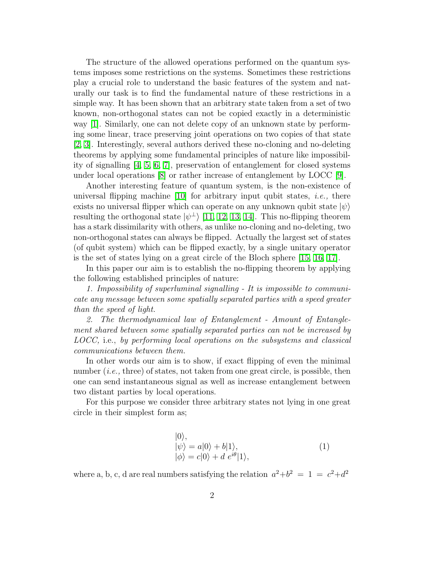The structure of the allowed operations performed on the quantum systems imposes some restrictions on the systems. Sometimes these restrictions play a crucial role to understand the basic features of the system and naturally our task is to find the fundamental nature of these restrictions in a simple way. It has been shown that an arbitrary state taken from a set of two known, non-orthogonal states can not be copied exactly in a deterministic way [\[1\]](#page-6-0). Similarly, one can not delete copy of an unknown state by performing some linear, trace preserving joint operations on two copies of that state [\[2,](#page-6-1) [3\]](#page-6-2). Interestingly, several authors derived these no-cloning and no-deleting theorems by applying some fundamental principles of nature like impossibility of signalling [\[4,](#page-6-3) [5,](#page-6-4) [6,](#page-6-5) [7\]](#page-6-6), preservation of entanglement for closed systems under local operations [\[8\]](#page-6-7) or rather increase of entanglement by LOCC [\[9\]](#page-6-8).

Another interesting feature of quantum system, is the non-existence of universal flipping machine  $[10]$  for arbitrary input qubit states, *i.e.*, there exists no universal flipper which can operate on any unknown qubit state  $|\psi\rangle$ resulting the orthogonal state  $|\psi^{\perp}\rangle$  [\[11,](#page-6-10) [12,](#page-6-11) [13,](#page-6-12) [14\]](#page-6-13). This no-flipping theorem has a stark dissimilarity with others, as unlike no-cloning and no-deleting, two non-orthogonal states can always be flipped. Actually the largest set of states (of qubit system) which can be flipped exactly, by a single unitary operator is the set of states lying on a great circle of the Bloch sphere [\[15,](#page-6-14) [16,](#page-6-15) [17\]](#page-7-0).

In this paper our aim is to establish the no-flipping theorem by applying the following established principles of nature:

1. Impossibility of superluminal signalling - It is impossible to communicate any message between some spatially separated parties with a speed greater than the speed of light.

2. The thermodynamical law of Entanglement - Amount of Entanglement shared between some spatially separated parties can not be increased by LOCC, i.e., by performing local operations on the subsystems and classical communications between them.

In other words our aim is to show, if exact flipping of even the minimal number *(i.e., three)* of states, not taken from one great circle, is possible, then one can send instantaneous signal as well as increase entanglement between two distant parties by local operations.

For this purpose we consider three arbitrary states not lying in one great circle in their simplest form as;

$$
|0\rangle,|\psi\rangle = a|0\rangle + b|1\rangle,|\phi\rangle = c|0\rangle + d e^{i\theta}|1\rangle,
$$
 (1)

where a, b, c, d are real numbers satisfying the relation  $a^2+b^2 = 1 = c^2+d^2$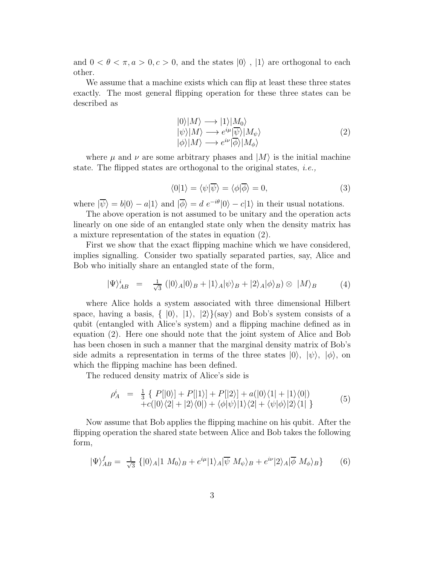and  $0 < \theta < \pi, a > 0, c > 0$ , and the states  $|0\rangle$ ,  $|1\rangle$  are orthogonal to each other.

We assume that a machine exists which can flip at least these three states exactly. The most general flipping operation for these three states can be described as

$$
\begin{array}{l}\n|0\rangle|M\rangle \longrightarrow |1\rangle|M_0\rangle \\
|\psi\rangle|M\rangle \longrightarrow e^{i\mu}|\overline{\psi}\rangle|M_\psi\rangle \\
|\phi\rangle|M\rangle \longrightarrow e^{i\nu}|\overline{\phi}\rangle|M_\phi\rangle\n\end{array} (2)
$$

where  $\mu$  and  $\nu$  are some arbitrary phases and  $|M\rangle$  is the initial machine state. The flipped states are orthogonal to the original states, i.e.,

$$
\langle 0|1\rangle = \langle \psi|\overline{\psi}\rangle = \langle \phi|\overline{\phi}\rangle = 0, \tag{3}
$$

where  $|\overline{\psi}\rangle = b|0\rangle - a|1\rangle$  and  $|\overline{\phi}\rangle = d e^{-i\theta}|0\rangle - c|1\rangle$  in their usual notations.

The above operation is not assumed to be unitary and the operation acts linearly on one side of an entangled state only when the density matrix has a mixture representation of the states in equation (2).

First we show that the exact flipping machine which we have considered, implies signalling. Consider two spatially separated parties, say, Alice and Bob who initially share an entangled state of the form,

$$
|\Psi\rangle_{AB}^i = \frac{1}{\sqrt{3}} (|0\rangle_A |0\rangle_B + |1\rangle_A |\psi\rangle_B + |2\rangle_A |\phi\rangle_B) \otimes |M\rangle_B \tag{4}
$$

where Alice holds a system associated with three dimensional Hilbert space, having a basis,  $\{|0\rangle, |1\rangle, |2\rangle\}$ (say) and Bob's system consists of a qubit (entangled with Alice's system) and a flipping machine defined as in equation (2). Here one should note that the joint system of Alice and Bob has been chosen in such a manner that the marginal density matrix of Bob's side admits a representation in terms of the three states  $|0\rangle, |\psi\rangle, |\phi\rangle$ , on which the flipping machine has been defined.

The reduced density matrix of Alice's side is

$$
\rho_A^i = \frac{1}{3} \left\{ P[|0\rangle] + P[|1\rangle] + P[|2\rangle] + a(|0\rangle\langle 1| + |1\rangle\langle 0|) + c(|0\rangle\langle 2| + |2\rangle\langle 0|) + \langle \phi|\psi\rangle|1\rangle\langle 2| + \langle \psi|\phi\rangle|2\rangle\langle 1| \right\} \tag{5}
$$

Now assume that Bob applies the flipping machine on his qubit. After the flipping operation the shared state between Alice and Bob takes the following form,

$$
|\Psi\rangle_{AB}^f = \frac{1}{\sqrt{3}} \left\{|0\rangle_A|1 \ M_0\rangle_B + e^{i\mu}|1\rangle_A|\overline{\psi} \ M_\psi\rangle_B + e^{i\nu}|2\rangle_A|\overline{\phi} \ M_\phi\rangle_B\right\} \tag{6}
$$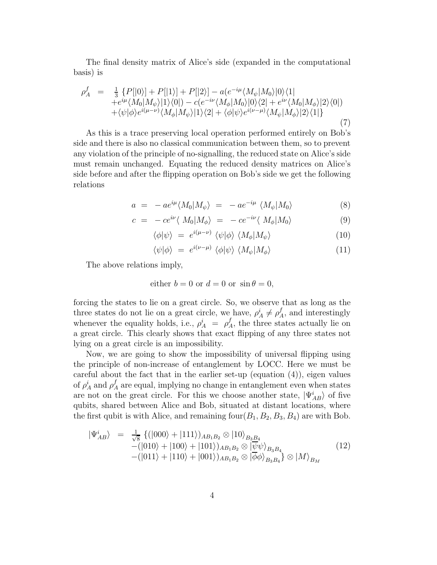The final density matrix of Alice's side (expanded in the computational basis) is

$$
\rho_{A}^{f} = \frac{1}{3} \{ P[|0\rangle] + P[|1\rangle] + P[|2\rangle] - a(e^{-i\mu} \langle M_{\psi}|M_{0}\rangle|0\rangle\langle1| \n+ e^{i\mu} \langle M_{0}|M_{\psi}\rangle|1\rangle\langle0|) - c(e^{-i\nu} \langle M_{\phi}|M_{0}\rangle|0\rangle\langle2| + e^{i\nu} \langle M_{0}|M_{\phi}\rangle|2\rangle\langle0|) \n+ \langle\psi|\phi\rangle e^{i(\mu-\nu)} \langle M_{\phi}|M_{\psi}\rangle|1\rangle\langle2| + \langle\phi|\psi\rangle e^{i(\nu-\mu)} \langle M_{\psi}|M_{\phi}\rangle|2\rangle\langle1| \}
$$
\n(7)

As this is a trace preserving local operation performed entirely on Bob's side and there is also no classical communication between them, so to prevent any violation of the principle of no-signalling, the reduced state on Alice's side must remain unchanged. Equating the reduced density matrices on Alice's side before and after the flipping operation on Bob's side we get the following relations

$$
a = -ae^{i\mu} \langle M_0 | M_\psi \rangle = -ae^{-i\mu} \langle M_\psi | M_0 \rangle \tag{8}
$$

$$
c = -ce^{i\nu} \langle M_0 | M_\phi \rangle = -ce^{-i\nu} \langle M_\phi | M_0 \rangle \tag{9}
$$

$$
\langle \phi | \psi \rangle = e^{i(\mu - \nu)} \langle \psi | \phi \rangle \langle M_{\phi} | M_{\psi} \rangle \tag{10}
$$

$$
\langle \psi | \phi \rangle = e^{i(\nu - \mu)} \langle \phi | \psi \rangle \langle M_{\psi} | M_{\phi} \rangle \tag{11}
$$

The above relations imply,

either 
$$
b = 0
$$
 or  $d = 0$  or  $\sin \theta = 0$ ,

forcing the states to lie on a great circle. So, we observe that as long as the three states do not lie on a great circle, we have,  $\rho_A^i \neq \rho_A^f$ , and interestingly whenever the equality holds, i.e.,  $\rho_A^i = \rho_A^f$ , the three states actually lie on a great circle. This clearly shows that exact flipping of any three states not lying on a great circle is an impossibility.

Now, we are going to show the impossibility of universal flipping using the principle of non-increase of entanglement by LOCC. Here we must be careful about the fact that in the earlier set-up (equation (4)), eigen values of  $\rho_A^i$  and  $\rho_A^f$  are equal, implying no change in entanglement even when states are not on the great circle. For this we choose another state,  $|\Psi_{AB}^i\rangle$  of five qubits, shared between Alice and Bob, situated at distant locations, where the first qubit is with Alice, and remaining  $\text{four}(B_1, B_2, B_3, B_4)$  are with Bob.

$$
\begin{array}{rcl}\n|\Psi_{AB}^{i}\rangle &=& \frac{1}{\sqrt{8}} \left\{ (|000\rangle + |111\rangle)_{AB_{1}B_{2}} \otimes |10\rangle_{B_{3}B_{4}} \right. \\
&-(|010\rangle + |100\rangle + |101\rangle)_{AB_{1}B_{2}} \otimes |\overline{\psi}\psi\rangle_{B_{3}B_{4}} \\
&-(|011\rangle + |110\rangle + |001\rangle)_{AB_{1}B_{2}} \otimes |\overline{\phi}\phi\rangle_{B_{3}B_{4}} \right\} \otimes |M\rangle_{B_{M}}\n\end{array} \tag{12}
$$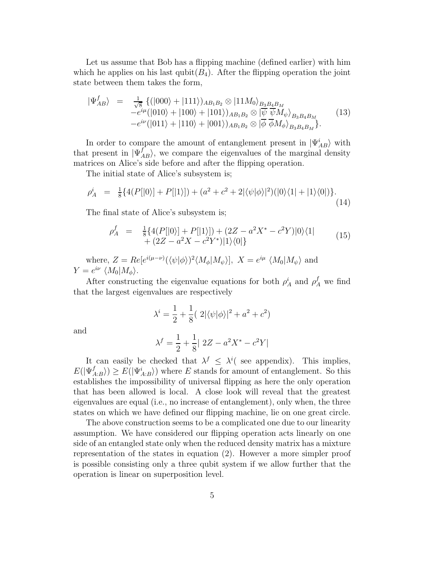Let us assume that Bob has a flipping machine (defined earlier) with him which he applies on his last qubit $(B_4)$ . After the flipping operation the joint state between them takes the form,

$$
\begin{array}{rcl}\n|\Psi_{AB}^{f}\rangle &=& \frac{1}{\sqrt{8}} \left\{ (|000\rangle + |111\rangle)_{AB_1B_2} \otimes |11M_0\rangle_{B_3B_4B_M} \\
&-e^{i\mu}(|010\rangle + |100\rangle + |101\rangle)_{AB_1B_2} \otimes |\psi \overline{\psi} M_{\psi}\rangle_{B_3B_4B_M} \\
&-e^{i\nu}(|011\rangle + |110\rangle + |001\rangle)_{AB_1B_2} \otimes |\overline{\phi} \overline{\phi} M_{\phi}\rangle_{B_3B_4B_M}.\n\end{array} \tag{13}
$$

In order to compare the amount of entanglement present in  $|\Psi_{AB}^i\rangle$  with that present in  $|\Psi_{AB}^f\rangle$ , we compare the eigenvalues of the marginal density matrices on Alice's side before and after the flipping operation.

The initial state of Alice's subsystem is;

$$
\rho_A^i \quad = \quad \frac{1}{8} \{ 4(P[|0\rangle] + P[|1\rangle]) + (a^2 + c^2 + 2|\langle \psi | \phi \rangle|^2)(|0\rangle\langle 1| + |1\rangle\langle 0|) \}. \tag{14}
$$

The final state of Alice's subsystem is;

$$
\rho_A^f = \frac{1}{8} \{ 4(P[|0\rangle] + P[|1\rangle]) + (2Z - a^2 X^* - c^2 Y)|0\rangle\langle 1| + (2Z - a^2 X - c^2 Y^*)|1\rangle\langle 0|\}
$$
\n
$$
(15)
$$

where,  $Z = Re[e^{i(\mu-\nu)}(\langle \psi | \phi \rangle)^2 \langle M_{\phi} | M_{\psi} \rangle], X = e^{i\mu} \langle M_0 | M_{\psi} \rangle$  and  $Y = e^{i\nu} \langle M_0 | M_\phi \rangle.$ 

After constructing the eigenvalue equations for both  $\rho_A^i$  and  $\rho_A^f$  we find that the largest eigenvalues are respectively

$$
\lambda^{i} = \frac{1}{2} + \frac{1}{8} ( 2|\langle \psi | \phi \rangle|^{2} + a^{2} + c^{2})
$$

and

$$
\lambda^f = \frac{1}{2} + \frac{1}{8} | 2Z - a^2 X^* - c^2 Y |
$$

It can easily be checked that  $\lambda^f \leq \lambda^i$  see appendix). This implies,  $E(|\Psi_{A:B}^{f}\rangle) \geq E(|\Psi_{A:B}^{i}\rangle)$  where E stands for amount of entanglement. So this establishes the impossibility of universal flipping as here the only operation that has been allowed is local. A close look will reveal that the greatest eigenvalues are equal (i.e., no increase of entanglement), only when, the three states on which we have defined our flipping machine, lie on one great circle.

The above construction seems to be a complicated one due to our linearity assumption. We have considered our flipping operation acts linearly on one side of an entangled state only when the reduced density matrix has a mixture representation of the states in equation (2). However a more simpler proof is possible consisting only a three qubit system if we allow further that the operation is linear on superposition level.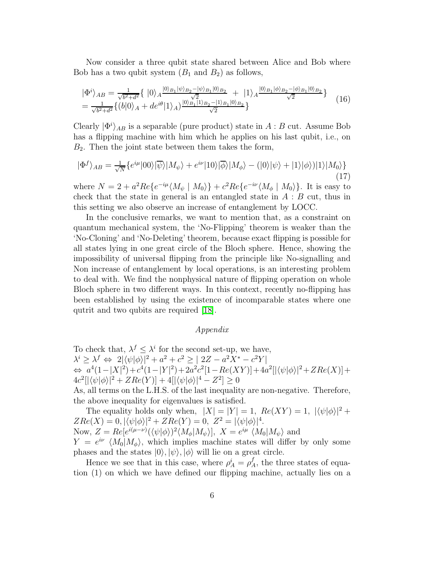Now consider a three qubit state shared between Alice and Bob where Bob has a two qubit system  $(B_1 \text{ and } B_2)$  as follows,

$$
|\Phi^i\rangle_{AB} = \frac{1}{\sqrt{b^2 + d^2}} \{ |0\rangle_A \frac{|0\rangle_{B_1} |\psi\rangle_{B_2} - |\psi\rangle_{B_1} |0\rangle_{B_2}}{\sqrt{2}} + |1\rangle_A \frac{|0\rangle_{B_1} |\phi\rangle_{B_2} - |\phi\rangle_{B_1} |0\rangle_{B_2}}{\sqrt{2}} \} \n= \frac{1}{\sqrt{b^2 + d^2}} \{ (b|0\rangle_A + d e^{i\theta} |1\rangle_A) \frac{|0\rangle_{B_1} |1\rangle_{B_2} - |1\rangle_{B_1} |0\rangle_{B_2}}{\sqrt{2}} \} \n\tag{16}
$$

Clearly  $|\Phi^i\rangle_{AB}$  is a separable (pure product) state in  $A : B$  cut. Assume Bob has a flipping machine with him which he applies on his last qubit, i.e., on  $B_2$ . Then the joint state between them takes the form,

$$
|\Phi^f\rangle_{AB} = \frac{1}{\sqrt{N}} \{e^{i\mu} |00\rangle|\overline{\psi}\rangle|M_{\psi}\rangle + e^{i\nu}|10\rangle|\overline{\phi}\rangle|M_{\phi}\rangle - (|0\rangle|\psi\rangle + |1\rangle|\phi\rangle)|1\rangle|M_0\rangle\}
$$
(17)

where  $N = 2 + a^2 Re\{e^{-i\mu} \langle M_{\psi} \mid M_0 \rangle\} + c^2 Re\{e^{-i\nu} \langle M_{\phi} \mid M_0 \rangle\}$ . It is easy to check that the state in general is an entangled state in  $A : B$  cut, thus in this setting we also observe an increase of entanglement by LOCC.

In the conclusive remarks, we want to mention that, as a constraint on quantum mechanical system, the 'No-Flipping' theorem is weaker than the 'No-Cloning' and 'No-Deleting' theorem, because exact flipping is possible for all states lying in one great circle of the Bloch sphere. Hence, showing the impossibility of universal flipping from the principle like No-signalling and Non increase of entanglement by local operations, is an interesting problem to deal with. We find the nonphysical nature of flipping operation on whole Bloch sphere in two different ways. In this context, recently no-flipping has been established by using the existence of incomparable states where one qutrit and two qubits are required [\[18\]](#page-7-1).

## Appendix

To check that,  $\lambda^f \leq \lambda^i$  for the second set-up, we have,  $\lambda^i \geq \lambda^f \Leftrightarrow 2|\langle \psi | \phi \rangle|^2 + a^2 + c^2 \geq |2Z - a^2X^* - c^2Y|$  $\Leftrightarrow a^4(1-|X|^2)+c^4(1-|Y|^2)+2a^2c^2[1-Re(XY)]+4a^2[|\langle\psi|\phi\rangle|^2+ZRe(X)]+$  $4c^2[\langle\psi|\phi\rangle|^2 + ZRe(Y)] + 4[\langle\psi|\phi\rangle|^4 - Z^2] \geq 0$ 

As, all terms on the L.H.S. of the last inequality are non-negative. Therefore, the above inequality for eigenvalues is satisfied.

The equality holds only when,  $|X| = |Y| = 1$ ,  $Re(XY) = 1$ ,  $|\langle \psi | \phi \rangle|^2 +$  $ZRe(X) = 0, |\langle \psi | \phi \rangle|^2 + ZRe(Y) = 0, Z^2 = |\langle \psi | \phi \rangle|^4.$ Now,  $Z = Re[e^{i(\mu-\nu)}(\langle \psi | \phi \rangle)^2 \langle M_{\phi} | M_{\psi} \rangle], X = e^{i\mu} \langle M_0 | M_{\psi} \rangle$  and

 $Y = e^{i\nu} \langle M_0 | M_\phi \rangle$ , which implies machine states will differ by only some phases and the states  $|0\rangle, |\psi\rangle, |\phi\rangle$  will lie on a great circle.

Hence we see that in this case, where  $\rho_A^i = \rho_A^f$ , the three states of equation (1) on which we have defined our flipping machine, actually lies on a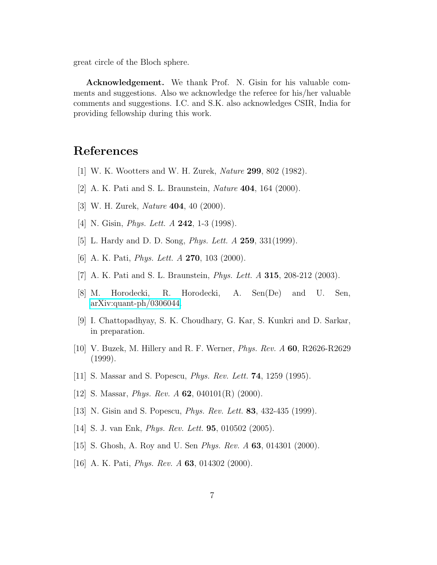great circle of the Bloch sphere.

Acknowledgement. We thank Prof. N. Gisin for his valuable comments and suggestions. Also we acknowledge the referee for his/her valuable comments and suggestions. I.C. and S.K. also acknowledges CSIR, India for providing fellowship during this work.

## <span id="page-6-0"></span>References

- <span id="page-6-1"></span>[1] W. K. Wootters and W. H. Zurek, Nature 299, 802 (1982).
- <span id="page-6-2"></span>[2] A. K. Pati and S. L. Braunstein, Nature 404, 164 (2000).
- <span id="page-6-3"></span>[3] W. H. Zurek, Nature 404, 40 (2000).
- <span id="page-6-4"></span>[4] N. Gisin, *Phys. Lett. A* **242**, 1-3 (1998).
- <span id="page-6-5"></span>[5] L. Hardy and D. D. Song, *Phys. Lett. A* **259**, 331(1999).
- <span id="page-6-6"></span>[6] A. K. Pati, *Phys. Lett. A* **270**, 103 (2000).
- <span id="page-6-7"></span>[7] A. K. Pati and S. L. Braunstein, Phys. Lett. A 315, 208-212 (2003).
- [8] M. Horodecki, R. Horodecki, A. Sen(De) and U. Sen, [arXiv:quant-ph/0306044.](http://arxiv.org/abs/quant-ph/0306044)
- <span id="page-6-8"></span>[9] I. Chattopadhyay, S. K. Choudhary, G. Kar, S. Kunkri and D. Sarkar, in preparation.
- <span id="page-6-9"></span>[10] V. Buzek, M. Hillery and R. F. Werner, Phys. Rev. A 60, R2626-R2629 (1999).
- <span id="page-6-11"></span><span id="page-6-10"></span>[11] S. Massar and S. Popescu, Phys. Rev. Lett. 74, 1259 (1995).
- <span id="page-6-12"></span>[12] S. Massar, *Phys. Rev. A* **62**, 040101(R) (2000).
- <span id="page-6-13"></span>[13] N. Gisin and S. Popescu, *Phys. Rev. Lett.* **83**, 432-435 (1999).
- <span id="page-6-14"></span>[14] S. J. van Enk, Phys. Rev. Lett. 95, 010502 (2005).
- <span id="page-6-15"></span>[15] S. Ghosh, A. Roy and U. Sen Phys. Rev. A 63, 014301 (2000).
- [16] A. K. Pati, *Phys. Rev. A* **63**, 014302 (2000).